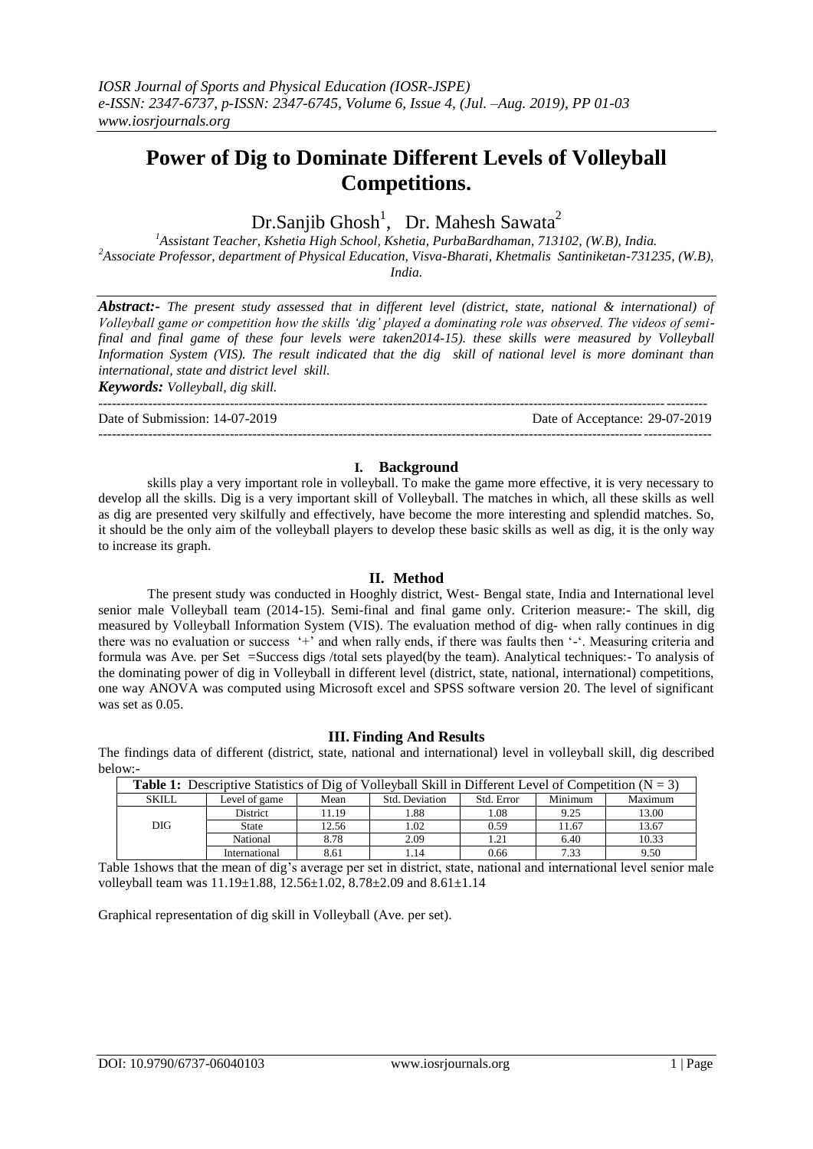# **Power of Dig to Dominate Different Levels of Volleyball Competitions.**

# Dr.Sanjib Ghosh<sup>1</sup>, Dr. Mahesh Sawata<sup>2</sup>

*<sup>1</sup>Assistant Teacher, Kshetia High School, Kshetia, PurbaBardhaman, 713102, (W.B), India. <sup>2</sup>Associate Professor, department of Physical Education, Visva-Bharati, Khetmalis Santiniketan-731235, (W.B), India.*

*Abstract:- The present study assessed that in different level (district, state, national & international) of Volleyball game or competition how the skills 'dig' played a dominating role was observed. The videos of semifinal and final game of these four levels were taken2014-15). these skills were measured by Volleyball Information System (VIS). The result indicated that the dig skill of national level is more dominant than international, state and district level skill.* 

*Keywords: Volleyball, dig skill.*

Date of Submission: 14-07-2019 Date of Acceptance: 29-07-2019

#### ---------------------------------------------------------------------------------------------------------------------------------------

### **I. Background**

--------------------------------------------------------------------------------------------------------------------------------------

skills play a very important role in volleyball. To make the game more effective, it is very necessary to develop all the skills. Dig is a very important skill of Volleyball. The matches in which, all these skills as well as dig are presented very skilfully and effectively, have become the more interesting and splendid matches. So, it should be the only aim of the volleyball players to develop these basic skills as well as dig, it is the only way to increase its graph.

### **II. Method**

The present study was conducted in Hooghly district, West- Bengal state, India and International level senior male Volleyball team (2014-15). Semi-final and final game only. Criterion measure:- The skill, dig measured by Volleyball Information System (VIS). The evaluation method of dig- when rally continues in dig there was no evaluation or success '+' and when rally ends, if there was faults then '-'. Measuring criteria and formula was Ave. per Set =Success digs /total sets played(by the team). Analytical techniques:- To analysis of the dominating power of dig in Volleyball in different level (district, state, national, international) competitions, one way ANOVA was computed using Microsoft excel and SPSS software version 20. The level of significant was set as 0.05.

# **III. Finding And Results**

The findings data of different (district, state, national and international) level in volleyball skill, dig described below:-

| <b>Table 1:</b> Descriptive Statistics of Dig of Volleyball Skill in Different Level of Competition ( $N = 3$ ) |                 |       |                |            |         |         |
|-----------------------------------------------------------------------------------------------------------------|-----------------|-------|----------------|------------|---------|---------|
| <b>SKILL</b>                                                                                                    | Level of game   | Mean  | Std. Deviation | Std. Error | Minimum | Maximum |
|                                                                                                                 | <b>District</b> | 11.19 | 1.88           | 1.08       | 9.25    | 13.00   |
| DIG.                                                                                                            | State           | 12.56 | 1.02           | 0.59       | 11.67   | 13.67   |
|                                                                                                                 | National        | 8.78  | 2.09           | 1.21       | 6.40    | 10.33   |
|                                                                                                                 | International   | 8.61  | l.14           | 0.66       | 7.33    | 9.50    |

Table 1shows that the mean of dig's average per set in district, state, national and international level senior male volleyball team was 11.19±1.88, 12.56±1.02, 8.78±2.09 and 8.61±1.14

Graphical representation of dig skill in Volleyball (Ave. per set).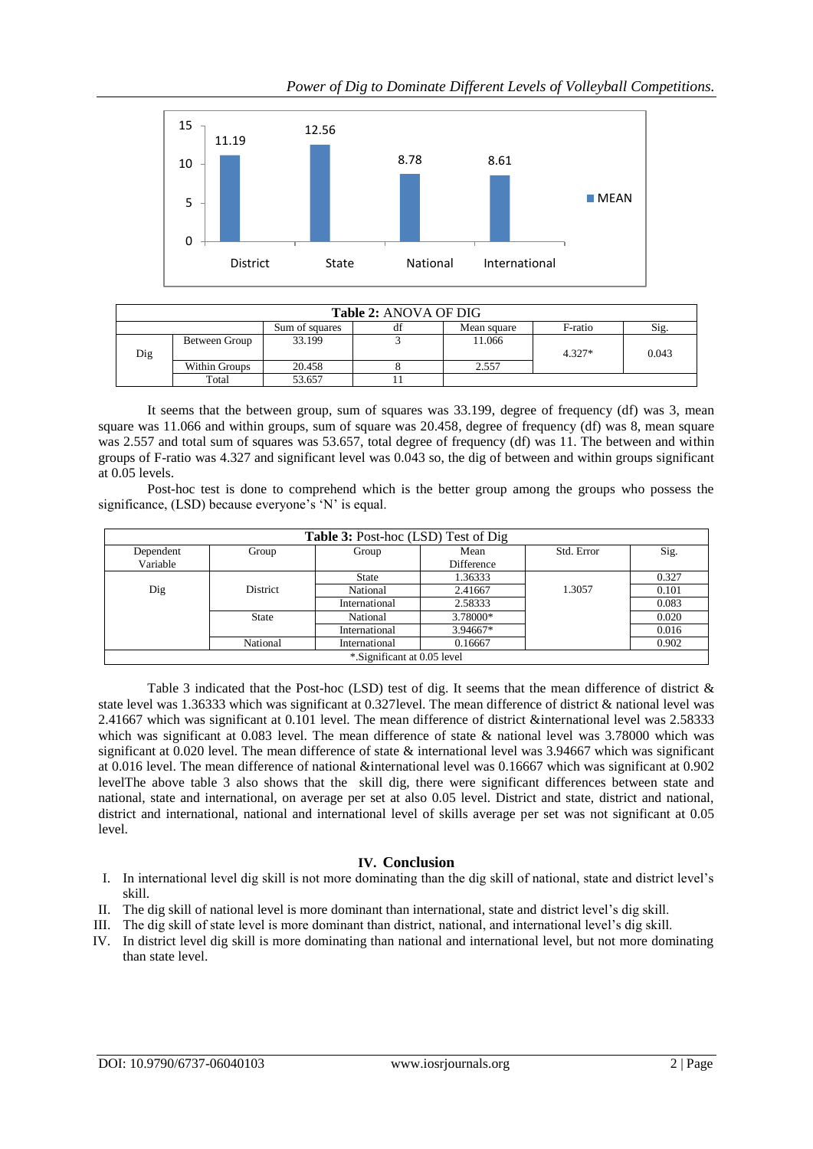

| <b>Table 2: ANOVA OF DIG</b> |               |                |    |             |          |       |  |  |
|------------------------------|---------------|----------------|----|-------------|----------|-------|--|--|
|                              |               | Sum of squares | df | Mean square | F-ratio  | Sig.  |  |  |
|                              | Between Group | 33.199         |    | 11.066      |          |       |  |  |
| Dig                          |               |                |    |             | $4.327*$ | 0.043 |  |  |
|                              | Within Groups | 20.458         |    | 2.557       |          |       |  |  |
|                              | Total         | 53.657         |    |             |          |       |  |  |

It seems that the between group, sum of squares was 33.199, degree of frequency (df) was 3, mean square was 11.066 and within groups, sum of square was 20.458, degree of frequency (df) was 8, mean square was 2.557 and total sum of squares was 53.657, total degree of frequency (df) was 11. The between and within groups of F-ratio was 4.327 and significant level was 0.043 so, the dig of between and within groups significant at 0.05 levels.

Post-hoc test is done to comprehend which is the better group among the groups who possess the significance, (LSD) because everyone's 'N' is equal.

| Table 3: Post-hoc (LSD) Test of Dig |                 |               |            |            |       |  |  |
|-------------------------------------|-----------------|---------------|------------|------------|-------|--|--|
| Dependent                           | Group           | Group         | Mean       | Std. Error | Sig.  |  |  |
| Variable                            |                 |               | Difference |            |       |  |  |
|                                     |                 | State         | 1.36333    |            | 0.327 |  |  |
| Dig                                 | <b>District</b> | National      | 2.41667    | 1.3057     | 0.101 |  |  |
|                                     |                 | International | 2.58333    |            | 0.083 |  |  |
|                                     | <b>State</b>    | National      | 3.78000*   |            | 0.020 |  |  |
|                                     |                 | International | 3.94667*   |            | 0.016 |  |  |
|                                     | National        | International | 0.16667    |            | 0.902 |  |  |
| *.Significant at 0.05 level         |                 |               |            |            |       |  |  |

Table 3 indicated that the Post-hoc (LSD) test of dig. It seems that the mean difference of district & state level was 1.36333 which was significant at 0.327level. The mean difference of district & national level was 2.41667 which was significant at 0.101 level. The mean difference of district &international level was 2.58333 which was significant at 0.083 level. The mean difference of state & national level was 3.78000 which was significant at 0.020 level. The mean difference of state  $\&$  international level was 3.94667 which was significant at 0.016 level. The mean difference of national &international level was 0.16667 which was significant at 0.902 levelThe above table 3 also shows that the skill dig, there were significant differences between state and national, state and international, on average per set at also 0.05 level. District and state, district and national, district and international, national and international level of skills average per set was not significant at 0.05 level.

# **IV. Conclusion**

- I. In international level dig skill is not more dominating than the dig skill of national, state and district level's skill.
- II. The dig skill of national level is more dominant than international, state and district level's dig skill.
- III. The dig skill of state level is more dominant than district, national, and international level's dig skill.
- IV. In district level dig skill is more dominating than national and international level, but not more dominating than state level.